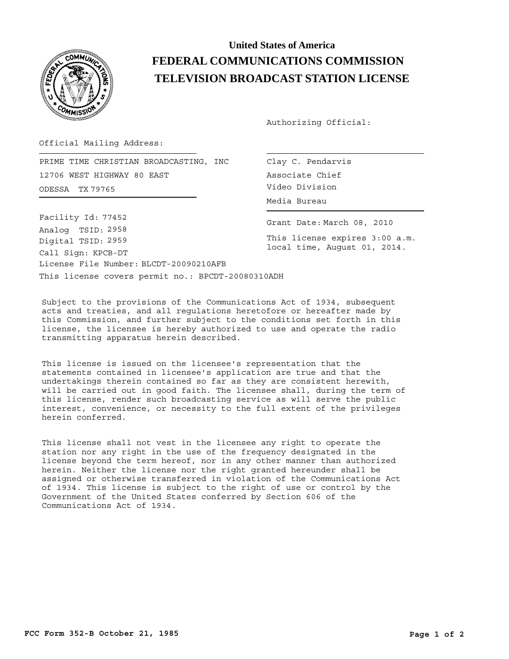

## **United States of America FEDERAL COMMUNICATIONS COMMISSION TELEVISION BROADCAST STATION LICENSE**

Authorizing Official:

Official Mailing Address:

ODESSA Video Division TX 79765 PRIME TIME CHRISTIAN BROADCASTING, INC 12706 WEST HIGHWAY 80 EAST

This license covers permit no.: BPCDT-20080310ADH License File Number: BLCDT-20090210AFB Call Sign: KPCB-DT Facility Id: 77452 Digital TSID: 2959 Analog TSID: 2958

Clay C. Pendarvis Associate Chief Media Bureau

Grant Date: March 08, 2010

This license expires 3:00 a.m. local time, August 01, 2014.

Subject to the provisions of the Communications Act of 1934, subsequent acts and treaties, and all regulations heretofore or hereafter made by this Commission, and further subject to the conditions set forth in this license, the licensee is hereby authorized to use and operate the radio transmitting apparatus herein described.

This license is issued on the licensee's representation that the statements contained in licensee's application are true and that the undertakings therein contained so far as they are consistent herewith, will be carried out in good faith. The licensee shall, during the term of this license, render such broadcasting service as will serve the public interest, convenience, or necessity to the full extent of the privileges herein conferred.

This license shall not vest in the licensee any right to operate the station nor any right in the use of the frequency designated in the license beyond the term hereof, nor in any other manner than authorized herein. Neither the license nor the right granted hereunder shall be assigned or otherwise transferred in violation of the Communications Act of 1934. This license is subject to the right of use or control by the Government of the United States conferred by Section 606 of the Communications Act of 1934.